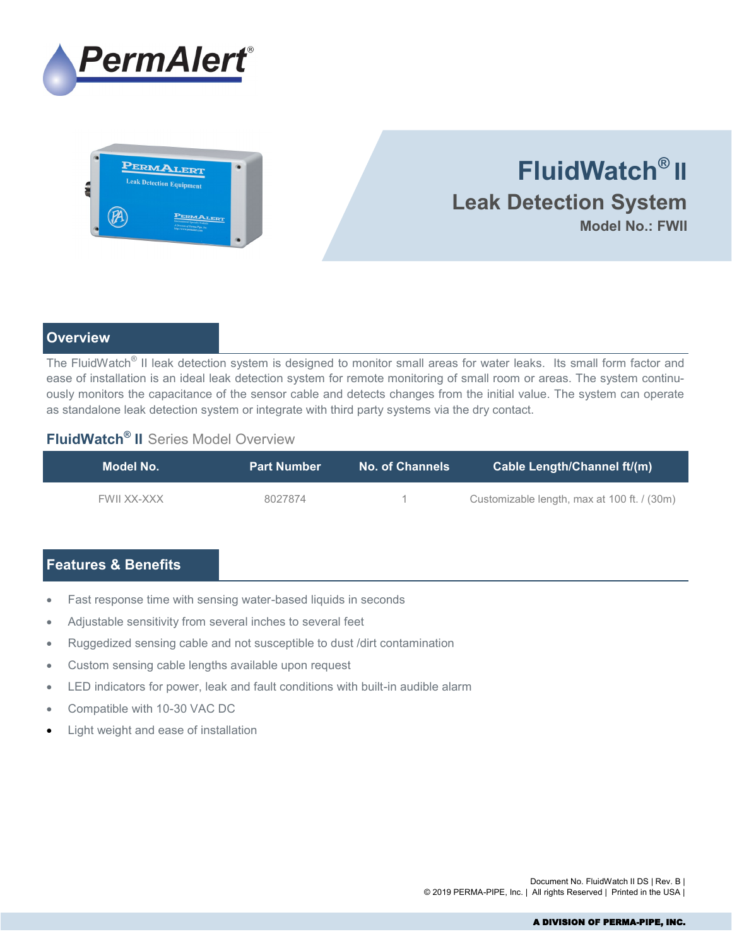



# **FluidWatch® II Leak Detection System Model No.: FWII**

### **Overview**

The FluidWatch<sup>®</sup> II leak detection system is designed to monitor small areas for water leaks. Its small form factor and ease of installation is an ideal leak detection system for remote monitoring of small room or areas. The system continuously monitors the capacitance of the sensor cable and detects changes from the initial value. The system can operate as standalone leak detection system or integrate with third party systems via the dry contact.

## **FluidWatch® II** Series Model Overview

| Model No.   | <b>Part Number</b> | <b>No. of Channels</b> | Cable Length/Channel ft/(m)                 |
|-------------|--------------------|------------------------|---------------------------------------------|
| FWII XX-XXX | 8027874            |                        | Customizable length, max at 100 ft. / (30m) |

# **Features & Benefits**

- Fast response time with sensing water-based liquids in seconds
- Adjustable sensitivity from several inches to several feet
- Ruggedized sensing cable and not susceptible to dust /dirt contamination
- Custom sensing cable lengths available upon request
- LED indicators for power, leak and fault conditions with built-in audible alarm
- Compatible with 10-30 VAC DC
- Light weight and ease of installation

Document No. FluidWatch II DS | Rev. B | © 2019 PERMA-PIPE, Inc. | All rights Reserved | Printed in the USA |